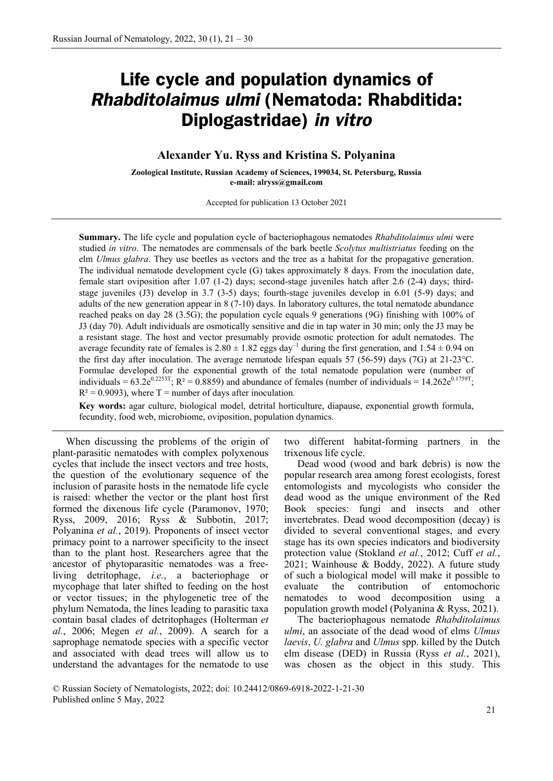# **Life cycle and population dynamics of**  *Rhabditolaimus ulmi* **(Nematoda: Rhabditida: Diplogastridae)** *in vitro*

## **Alexander Yu. Ryss and Kristina S. Polyanina**

**Zoological Institute, Russian Academy of Sciences, 199034, St. Petersburg, Russia e-mail: alryss@gmail.com**

Accepted for publication 13 October 2021

**Summary.** The life cycle and population cycle of bacteriophagous nematodes *Rhabditolaimus ulmi* were studied *in vitro*. The nematodes are commensals of the bark beetle *Scolytus multistriatus* feeding on the elm *Ulmus glabra*. They use beetles as vectors and the tree as a habitat for the propagative generation. The individual nematode development cycle (G) takes approximately 8 days. From the inoculation date, female start oviposition after 1.07 (1-2) days; second-stage juveniles hatch after 2.6 (2-4) days; thirdstage juveniles (J3) develop in 3.7 (3-5) days; fourth-stage juveniles develop in 6.01 (5-9) days; and adults of the new generation appear in 8 (7-10) days. In laboratory cultures, the total nematode abundance reached peaks on day 28 (3.5G); the population cycle equals 9 generations (9G) finishing with 100% of J3 (day 70). Adult individuals are osmotically sensitive and die in tap water in 30 min; only the J3 may be a resistant stage. The host and vector presumably provide osmotic protection for adult nematodes. The average fecundity rate of females is  $2.80 \pm 1.82$  eggs day<sup>-1</sup> during the first generation, and  $1.54 \pm 0.94$  on the first day after inoculation. The average nematode lifespan equals 57 (56-59) days (7G) at 21-23°C. Formulae developed for the exponential growth of the total nematode population were (number of individuals =  $63.2e^{0.2253T}$ ; R<sup>2</sup> = 0.8859) and abundance of females (number of individuals = 14.262e<sup>0.1759T</sup>;  $R^2 = 0.9093$ , where T = number of days after inoculation.

**Key words:** agar culture, biological model, detrital horticulture, diapause, exponential growth formula, fecundity, food web, microbiome, oviposition, population dynamics.

When discussing the problems of the origin of plant-parasitic nematodes with complex polyxenous cycles that include the insect vectors and tree hosts, the question of the evolutionary sequence of the inclusion of parasite hosts in the nematode life cycle is raised: whether the vector or the plant host first formed the dixenous life cycle (Paramonov, 1970; Ryss, 2009, 2016; Ryss & Subbotin, 2017; Polyanina *et al.*, 2019). Proponents of insect vector primacy point to a narrower specificity to the insect than to the plant host. Researchers agree that the ancestor of phytoparasitic nematodes was a freeliving detritophage, *i.e.*, a bacteriophage or mycophage that later shifted to feeding on the host or vector tissues; in the phylogenetic tree of the phylum Nematoda, the lines leading to parasitic taxa contain basal clades of detritophages (Holterman *et al.*, 2006; Megen *et al.*, 2009). A search for a saprophage nematode species with a specific vector and associated with dead trees will allow us to understand the advantages for the nematode to use

two different habitat-forming partners in the trixenous life cycle.

Dead wood (wood and bark debris) is now the popular research area among forest ecologists, forest entomologists and mycologists who consider the dead wood as the unique environment of the Red Book species: fungi and insects and other invertebrates. Dead wood decomposition (decay) is divided to several conventional stages, and every stage has its own species indicators and biodiversity protection value (Stokland *et al.*, 2012; Cuff *et al.*, 2021; Wainhouse & Boddy, 2022). A future study of such a biological model will make it possible to evaluate the contribution of entomochoric nematodes to wood decomposition using a population growth model (Polyanina & Ryss, 2021).

The bacteriophagous nematode *Rhabditolaimus ulmi*, an associate of the dead wood of elms *Ulmus laevis*, *U. glabra* and *Ulmus* spp. killed by the Dutch elm disease (DED) in Russia (Ryss *et al.*, 2021), was chosen as the object in this study. This

© Russian Society of Nematologists, 2022; doi: 10.24412/0869-6918-2022-1-21-30 Published online 5 May, 2022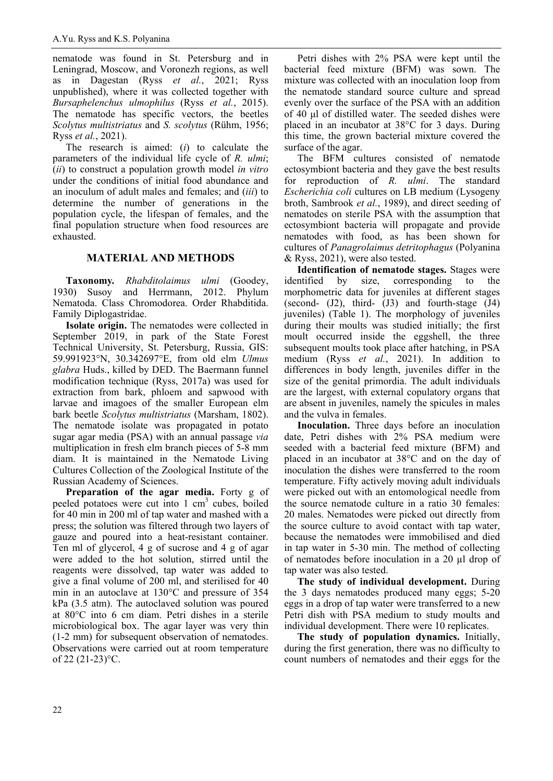nematode was found in St. Petersburg and in Leningrad, Moscow, and Voronezh regions, as well as in Dagestan (Ryss *et al.*, 2021; Ryss unpublished), where it was collected together with *Bursaphelenchus ulmophilus* (Ryss *et al.*, 2015). The nematode has specific vectors, the beetles *Scolytus multistriatus* and *S. scolytus* (Rühm, 1956; Ryss *et al.*, 2021).

The research is aimed: (*i*) to calculate the parameters of the individual life cycle of *R. ulmi*; (*ii*) to construct a population growth model *in vitro* under the conditions of initial food abundance and an inoculum of adult males and females; and (*iii*) to determine the number of generations in the population cycle, the lifespan of females, and the final population structure when food resources are exhausted.

# **MATERIAL AND METHODS**

**Taxonomy***. Rhabditolaimus ulmi* (Goodey, 1930) Susoy and Herrmann, 2012. Phylum Nematoda. Class Chromodorea. Order Rhabditida. Family Diplogastridae.

**Isolate origin.** The nematodes were collected in September 2019, in park of the State Forest Technical University, St. Petersburg, Russia, GIS: 59.991923°N, 30.342697°E, from old elm *Ulmus glabra* Huds., killed by DED. The Baermann funnel modification technique (Ryss, 2017a) was used for extraction from bark, phloem and sapwood with larvae and imagoes of the smaller European elm bark beetle *Scolytus multistriatus* (Marsham, 1802). The nematode isolate was propagated in potato sugar agar media (PSA) with an annual passage *via* multiplication in fresh elm branch pieces of 5-8 mm diam. It is maintained in the Nematode Living Cultures Collection of the Zoological Institute of the Russian Academy of Sciences.

**Preparation of the agar media.** Forty g of peeled potatoes were cut into  $1 \text{ cm}^3$  cubes, boiled for 40 min in 200 ml of tap water and mashed with a press; the solution was filtered through two layers of gauze and poured into a heat-resistant container. Ten ml of glycerol, 4 g of sucrose and 4 g of agar were added to the hot solution, stirred until the reagents were dissolved, tap water was added to give a final volume of 200 ml, and sterilised for 40 min in an autoclave at 130°C and pressure of 354 kPa (3.5 atm). The autoclaved solution was poured at 80°C into 6 cm diam. Petri dishes in a sterile microbiological box. The agar layer was very thin (1-2 mm) for subsequent observation of nematodes. Observations were carried out at room temperature of 22 (21-23)°C.

Petri dishes with 2% PSA were kept until the bacterial feed mixture (BFM) was sown. The mixture was collected with an inoculation loop from the nematode standard source culture and spread evenly over the surface of the PSA with an addition of 40 μl of distilled water. The seeded dishes were placed in an incubator at 38°C for 3 days. During this time, the grown bacterial mixture covered the surface of the agar.

The BFM cultures consisted of nematode ectosymbiont bacteria and they gave the best results for reproduction of *R. ulmi*. The standard *Escherichia coli* cultures on LB medium (Lysogeny broth, Sambrook *et al.*, 1989), and direct seeding of nematodes on sterile PSA with the assumption that ectosymbiont bacteria will propagate and provide nematodes with food, as has been shown for cultures of *Panagrolaimus detritophagus* (Polyanina & Ryss, 2021), were also tested.

**Identification of nematode stages.** Stages were identified by size, corresponding to the morphometric data for juveniles at different stages (second- (J2), third- (J3) and fourth-stage (J4) juveniles) (Table 1). The morphology of juveniles during their moults was studied initially; the first moult occurred inside the eggshell, the three subsequent moults took place after hatching, in PSA medium (Ryss *et al.*, 2021). In addition to differences in body length, juveniles differ in the size of the genital primordia. The adult individuals are the largest, with external copulatory organs that are absent in juveniles, namely the spicules in males and the vulva in females.

**Inoculation.** Three days before an inoculation date, Petri dishes with 2% PSA medium were seeded with a bacterial feed mixture (BFM) and placed in an incubator at 38°C and on the day of inoculation the dishes were transferred to the room temperature. Fifty actively moving adult individuals were picked out with an entomological needle from the source nematode culture in a ratio 30 females: 20 males. Nematodes were picked out directly from the source culture to avoid contact with tap water, because the nematodes were immobilised and died in tap water in 5-30 min. The method of collecting of nematodes before inoculation in a 20 µl drop of tap water was also tested.

**The study of individual development.** During the 3 days nematodes produced many eggs; 5-20 eggs in a drop of tap water were transferred to a new Petri dish with PSA medium to study moults and individual development. There were 10 replicates.

**The study of population dynamics.** Initially, during the first generation, there was no difficulty to count numbers of nematodes and their eggs for the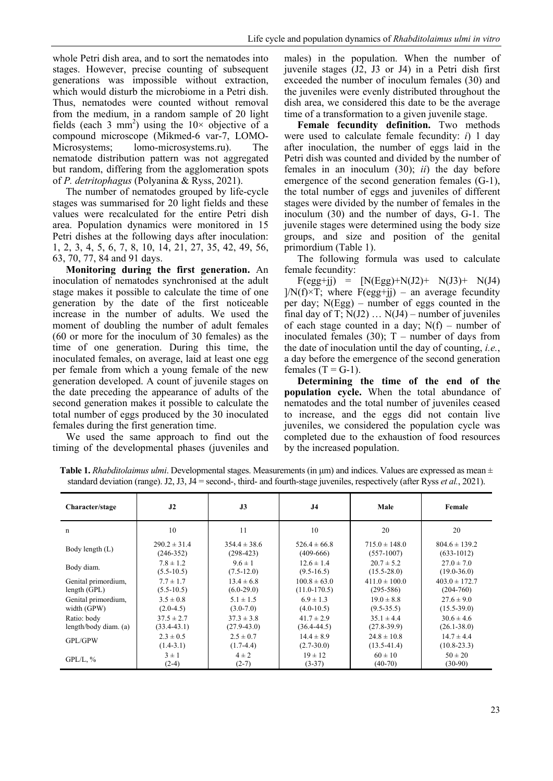whole Petri dish area, and to sort the nematodes into stages. However, precise counting of subsequent generations was impossible without extraction, which would disturb the microbiome in a Petri dish. Thus, nematodes were counted without removal from the medium, in a random sample of 20 light fields (each 3 mm<sup>2</sup>) using the  $10\times$  objective of a compound microscope (Mikmed-6 var-7, LOMO-Microsystems; lomo-microsystems.ru). The nematode distribution pattern was not aggregated but random, differing from the agglomeration spots of *P. detritophagus* (Polyanina & Ryss, 2021).

The number of nematodes grouped by life-cycle stages was summarised for 20 light fields and these values were recalculated for the entire Petri dish area. Population dynamics were monitored in 15 Petri dishes at the following days after inoculation: 1, 2, 3, 4, 5, 6, 7, 8, 10, 14, 21, 27, 35, 42, 49, 56, 63, 70, 77, 84 and 91 days.

**Monitoring during the first generation.** An inoculation of nematodes synchronised at the adult stage makes it possible to calculate the time of one generation by the date of the first noticeable increase in the number of adults. We used the moment of doubling the number of adult females (60 or more for the inoculum of 30 females) as the time of one generation. During this time, the inoculated females, on average, laid at least one egg per female from which a young female of the new generation developed. A count of juvenile stages on the date preceding the appearance of adults of the second generation makes it possible to calculate the total number of eggs produced by the 30 inoculated females during the first generation time.

We used the same approach to find out the timing of the developmental phases (juveniles and males) in the population. When the number of juvenile stages (J2, J3 or J4) in a Petri dish first exceeded the number of inoculum females (30) and the juveniles were evenly distributed throughout the dish area, we considered this date to be the average time of a transformation to a given juvenile stage.

**Female fecundity definition.** Two methods were used to calculate female fecundity: *i*) 1 day after inoculation, the number of eggs laid in the Petri dish was counted and divided by the number of females in an inoculum (30); *ii*) the day before emergence of the second generation females (G-1), the total number of eggs and juveniles of different stages were divided by the number of females in the inoculum (30) and the number of days, G-1. The juvenile stages were determined using the body size groups, and size and position of the genital primordium (Table 1).

The following formula was used to calculate female fecundity:

 $F(egg+jj) = [N(Egg)+N(J2)+ N(J3) + N(J4)$  $1/N(f) \times T$ ; where  $F(egg+ji)$  – an average fecundity per day; N(Egg) – number of eggs counted in the final day of T;  $N(J2)$  ...  $N(J4)$  – number of juveniles of each stage counted in a day;  $N(f)$  – number of inoculated females (30);  $T$  – number of days from the date of inoculation until the day of counting, *i.e.*, a day before the emergence of the second generation females  $(T = G-1)$ .

**Determining the time of the end of the population cycle.** When the total abundance of nematodes and the total number of juveniles ceased to increase, and the eggs did not contain live juveniles, we considered the population cycle was completed due to the exhaustion of food resources by the increased population.

| Character/stage       | J2               | J3               | J <sub>4</sub>   | Male              | Female            |
|-----------------------|------------------|------------------|------------------|-------------------|-------------------|
| n                     | 10               | 11               | 10               | 20                | 20                |
| Body length (L)       | $290.2 \pm 31.4$ | $354.4 \pm 38.6$ | $526.4 \pm 66.8$ | $715.0 \pm 148.0$ | $804.6 \pm 139.2$ |
|                       | $(246-352)$      | $(298-423)$      | $(409-666)$      | $(557-1007)$      | $(633-1012)$      |
| Body diam.            | $7.8 \pm 1.2$    | $9.6 \pm 1$      | $12.6 \pm 1.4$   | $20.7 \pm 5.2$    | $27.0 \pm 7.0$    |
|                       | $(5.5-10.5)$     | $(7.5-12.0)$     | $(9.5-16.5)$     | $(15.5 - 28.0)$   | $(19.0 - 36.0)$   |
| Genital primordium,   | $7.7 \pm 1.7$    | $13.4 \pm 6.8$   | $100.8 \pm 63.0$ | $411.0 \pm 100.0$ | $403.0 \pm 172.7$ |
| length(GPL)           | $(5.5-10.5)$     | $(6.0-29.0)$     | $(11.0 - 170.5)$ | $(295-586)$       | $(204 - 760)$     |
| Genital primordium,   | $3.5 \pm 0.8$    | $5.1 \pm 1.5$    | $6.9 \pm 1.3$    | $19.0 \pm 8.8$    | $27.6 \pm 9.0$    |
| width (GPW)           | $(2.0-4.5)$      | $(3.0 - 7.0)$    | $(4.0-10.5)$     | $(9.5 - 35.5)$    | $(15.5 - 39.0)$   |
| Ratio: body           | $37.5 \pm 2.7$   | $37.3 \pm 3.8$   | $41.7 \pm 2.9$   | $35.1 \pm 4.4$    | $30.6 \pm 4.6$    |
| length/body diam. (a) | $(33.4 - 43.1)$  | $(27.9 - 43.0)$  | $(36.4 - 44.5)$  | $(27.8-39.9)$     | $(26.1 - 38.0)$   |
| GPL/GPW               | $2.3 \pm 0.5$    | $2.5 \pm 0.7$    | $14.4 \pm 8.9$   | $24.8 \pm 10.8$   | $14.7 \pm 4.4$    |
|                       | $(1.4-3.1)$      | $(1.7-4.4)$      | $(2.7 - 30.0)$   | $(13.5 - 41.4)$   | $(10.8 - 23.3)$   |
| $GPL/L$ , %           | $3 \pm 1$        | $4 \pm 2$        | $19 \pm 12$      | $60 \pm 10$       | $50 \pm 20$       |
|                       | $(2-4)$          | $(2-7)$          | $(3-37)$         | $(40-70)$         | $(30-90)$         |

**Table 1.** *Rhabditolaimus ulmi*. Developmental stages. Measurements (in μm) and indices. Values are expressed as mean ± standard deviation (range). J2, J3, J4 = second-, third- and fourth-stage juveniles, respectively (after Ryss *et al.*, 2021).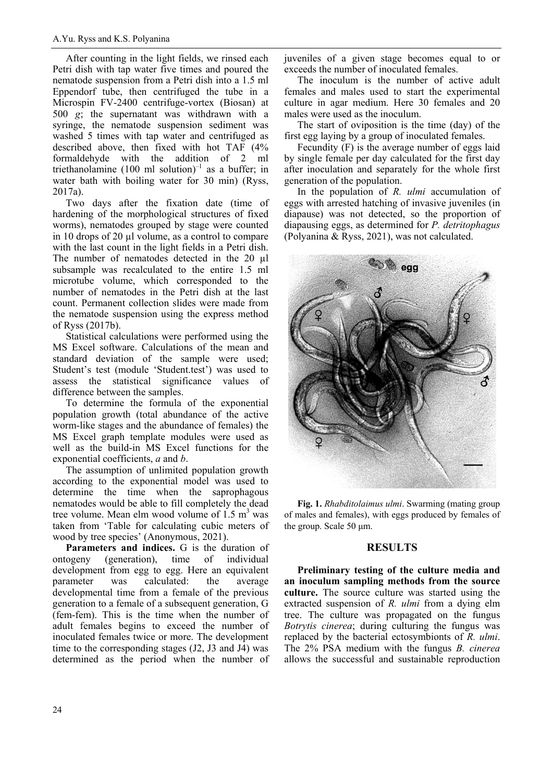After counting in the light fields, we rinsed each Petri dish with tap water five times and poured the nematode suspension from a Petri dish into a 1.5 ml Eppendorf tube, then centrifuged the tube in a Microspin FV-2400 centrifuge-vortex (Biosan) at 500 *g*; the supernatant was withdrawn with a syringe, the nematode suspension sediment was washed 5 times with tap water and centrifuged as described above, then fixed with hot TAF (4% formaldehyde with the addition of 2 ml triethanolamine (100 ml solution) $^{-1}$  as a buffer: in water bath with boiling water for 30 min) (Ryss, 2017a).

Two days after the fixation date (time of hardening of the morphological structures of fixed worms), nematodes grouped by stage were counted in 10 drops of 20 µl volume, as a control to compare with the last count in the light fields in a Petri dish. The number of nematodes detected in the 20 µl subsample was recalculated to the entire 1.5 ml microtube volume, which corresponded to the number of nematodes in the Petri dish at the last count. Permanent collection slides were made from the nematode suspension using the express method of Ryss (2017b).

Statistical calculations were performed using the MS Excel software. Calculations of the mean and standard deviation of the sample were used; Student's test (module 'Student.test') was used to assess the statistical significance values of difference between the samples.

To determine the formula of the exponential population growth (total abundance of the active worm-like stages and the abundance of females) the MS Excel graph template modules were used as well as the build-in MS Excel functions for the exponential coefficients, *a* and *b*.

The assumption of unlimited population growth according to the exponential model was used to determine the time when the saprophagous nematodes would be able to fill completely the dead tree volume. Mean elm wood volume of  $1.5 \text{ m}^3$  was taken from 'Table for calculating cubic meters of wood by tree species' (Anonymous, 2021).

**Parameters and indices.** G is the duration of ontogeny (generation), time of individual development from egg to egg. Here an equivalent parameter was calculated: the average developmental time from a female of the previous generation to a female of a subsequent generation, G (fem-fem). This is the time when the number of adult females begins to exceed the number of inoculated females twice or more. The development time to the corresponding stages (J2, J3 and J4) was determined as the period when the number of juveniles of a given stage becomes equal to or exceeds the number of inoculated females.

The inoculum is the number of active adult females and males used to start the experimental culture in agar medium. Here 30 females and 20 males were used as the inoculum.

The start of oviposition is the time (day) of the first egg laying by a group of inoculated females.

Fecundity (F) is the average number of eggs laid by single female per day calculated for the first day after inoculation and separately for the whole first generation of the population.

In the population of *R. ulmi* accumulation of eggs with arrested hatching of invasive juveniles (in diapause) was not detected, so the proportion of diapausing eggs, as determined for *P. detritophagus* (Polyanina & Ryss, 2021), was not calculated.



**Fig. 1.** *Rhabditolaimus ulmi*. Swarming (mating group of males and females), with eggs produced by females of the group. Scale 50 μm.

#### **RESULTS**

**Preliminary testing of the culture media and an inoculum sampling methods from the source culture.** The source culture was started using the extracted suspension of *R. ulmi* from a dying elm tree. The culture was propagated on the fungus *Botrytis cinerea*; during culturing the fungus was replaced by the bacterial ectosymbionts of *R. ulmi*. The 2% PSA medium with the fungus *B. cinerea* allows the successful and sustainable reproduction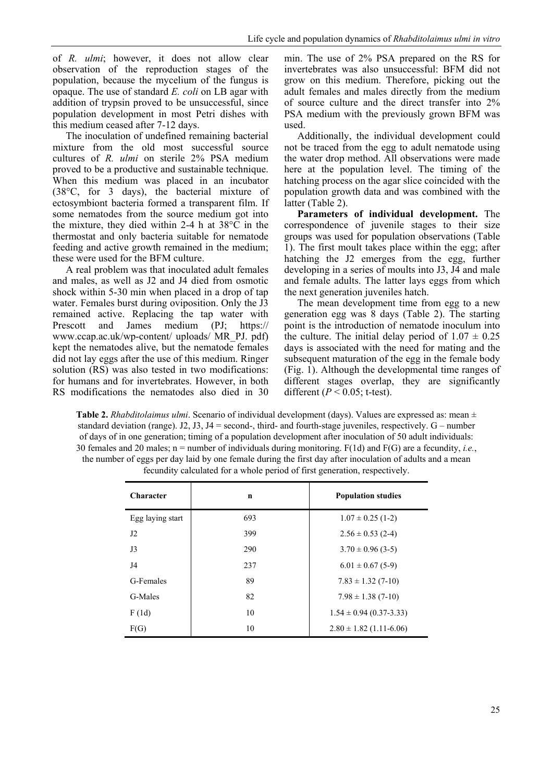of *R. ulmi*; however, it does not allow clear observation of the reproduction stages of the population, because the mycelium of the fungus is opaque. The use of standard *E. coli* on LB agar with addition of trypsin proved to be unsuccessful, since population development in most Petri dishes with this medium ceased after 7-12 days.

The inoculation of undefined remaining bacterial mixture from the old most successful source cultures of *R. ulmi* on sterile 2% PSA medium proved to be a productive and sustainable technique. When this medium was placed in an incubator (38°C, for 3 days), the bacterial mixture of ectosymbiont bacteria formed a transparent film. If some nematodes from the source medium got into the mixture, they died within 2-4 h at 38°C in the thermostat and only bacteria suitable for nematode feeding and active growth remained in the medium; these were used for the BFM culture.

A real problem was that inoculated adult females and males, as well as J2 and J4 died from osmotic shock within 5-30 min when placed in a drop of tap water. Females burst during oviposition. Only the J3 remained active. Replacing the tap water with Prescott and James medium (PJ; https:// www.ccap.ac.uk/wp-content/ uploads/ MR\_PJ. pdf) kept the nematodes alive, but the nematode females did not lay eggs after the use of this medium. Ringer solution (RS) was also tested in two modifications: for humans and for invertebrates. However, in both RS modifications the nematodes also died in 30 min. The use of 2% PSA prepared on the RS for invertebrates was also unsuccessful: BFM did not grow on this medium. Therefore, picking out the adult females and males directly from the medium of source culture and the direct transfer into 2% PSA medium with the previously grown BFM was used.

Additionally, the individual development could not be traced from the egg to adult nematode using the water drop method. All observations were made here at the population level. The timing of the hatching process on the agar slice coincided with the population growth data and was combined with the latter (Table 2).

**Parameters of individual development.** The correspondence of juvenile stages to their size groups was used for population observations (Table 1). The first moult takes place within the egg; after hatching the J2 emerges from the egg, further developing in a series of moults into J3, J4 and male and female adults. The latter lays eggs from which the next generation juveniles hatch.

The mean development time from egg to a new generation egg was 8 days (Table 2). The starting point is the introduction of nematode inoculum into the culture. The initial delay period of  $1.07 \pm 0.25$ days is associated with the need for mating and the subsequent maturation of the egg in the female body (Fig. 1). Although the developmental time ranges of different stages overlap, they are significantly different ( $P < 0.05$ ; t-test).

**Table 2.** *Rhabditolaimus ulmi*. Scenario of individual development (days). Values are expressed as: mean ± standard deviation (range). J2, J3, J4 = second-, third- and fourth-stage juveniles, respectively.  $G$  – number of days of in one generation; timing of a population development after inoculation of 50 adult individuals: 30 females and 20 males; n = number of individuals during monitoring. F(1d) and F(G) are a fecundity, *i.e.*, the number of eggs per day laid by one female during the first day after inoculation of adults and a mean fecundity calculated for a whole period of first generation, respectively.

| <b>Character</b> | n   | <b>Population studies</b>   |  |
|------------------|-----|-----------------------------|--|
| Egg laying start | 693 | $1.07 \pm 0.25$ (1-2)       |  |
| J2               | 399 | $2.56 \pm 0.53$ (2-4)       |  |
| J3               | 290 | $3.70 \pm 0.96$ (3-5)       |  |
| J4               | 237 | $6.01 \pm 0.67$ (5-9)       |  |
| G-Females        | 89  | $7.83 \pm 1.32$ (7-10)      |  |
| G-Males          | 82  | $7.98 \pm 1.38$ (7-10)      |  |
| F(1d)            | 10  | $1.54 \pm 0.94$ (0.37-3.33) |  |
| F(G)             | 10  | $2.80 \pm 1.82$ (1.11-6.06) |  |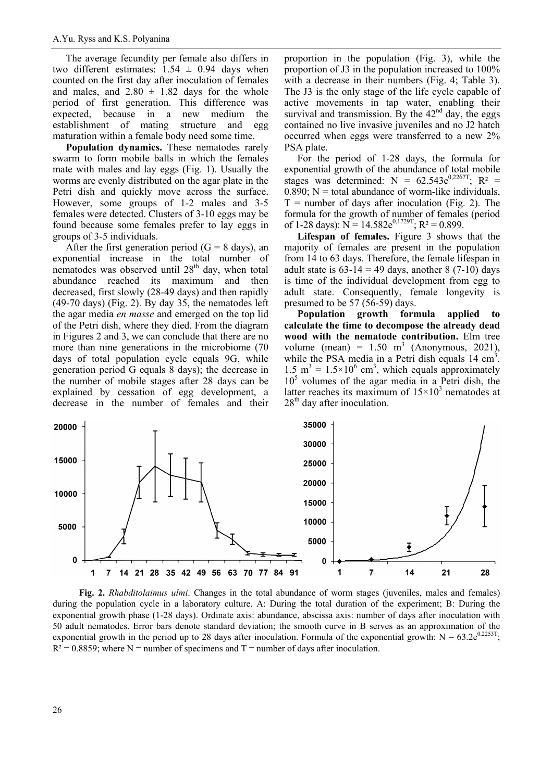The average fecundity per female also differs in two different estimates:  $1.54 \pm 0.94$  days when counted on the first day after inoculation of females and males, and  $2.80 \pm 1.82$  days for the whole period of first generation. This difference was expected, because in a new medium the establishment of mating structure and egg maturation within a female body need some time.

**Population dynamics.** These nematodes rarely swarm to form mobile balls in which the females mate with males and lay eggs (Fig. 1). Usually the worms are evenly distributed on the agar plate in the Petri dish and quickly move across the surface. However, some groups of 1-2 males and 3-5 females were detected. Clusters of 3-10 eggs may be found because some females prefer to lay eggs in groups of 3-5 individuals.

After the first generation period ( $G = 8$  days), an exponential increase in the total number of nematodes was observed until  $28<sup>th</sup>$  day, when total abundance reached its maximum and then decreased, first slowly (28-49 days) and then rapidly (49-70 days) (Fig. 2). By day 35, the nematodes left the agar media *en masse* and emerged on the top lid of the Petri dish, where they died. From the diagram in Figures 2 and 3, we can conclude that there are no more than nine generations in the microbiome (70 days of total population cycle equals 9G, while generation period G equals 8 days); the decrease in the number of mobile stages after 28 days can be explained by cessation of egg development, a decrease in the number of females and their

proportion in the population (Fig. 3), while the proportion of J3 in the population increased to 100% with a decrease in their numbers (Fig. 4; Table 3). The J3 is the only stage of the life cycle capable of active movements in tap water, enabling their survival and transmission. By the  $42<sup>nd</sup>$  day, the eggs contained no live invasive juveniles and no J2 hatch occurred when eggs were transferred to a new 2% PSA plate.

For the period of 1-28 days, the formula for exponential growth of the abundance of total mobile stages was determined:  $N = 62.543e^{0.2267T}$ ;  $R^2 =$  $0.890$ ; N = total abundance of worm-like individuals,  $T =$  number of days after inoculation (Fig. 2). The formula for the growth of number of females (period of 1-28 days):  $N = 14.582e^{0.1729T}$ ;  $R^2 = 0.899$ .

**Lifespan of females.** Figure 3 shows that the majority of females are present in the population from 14 to 63 days. Therefore, the female lifespan in adult state is  $63-14 = 49$  days, another 8 (7-10) days is time of the individual development from egg to adult state. Consequently, female longevity is presumed to be 57 (56-59) days.

**Population growth formula applied to calculate the time to decompose the already dead wood with the nematode contribution.** Elm tree volume (mean) =  $1.50 \text{ m}^3$  (Anonymous, 2021), while the PSA media in a Petri dish equals  $14 \text{ cm}^3$ . 1.5 m<sup>3</sup> =  $1.5 \times 10^6$  cm<sup>3</sup>, which equals approximately  $10<sup>5</sup>$  volumes of the agar media in a Petri dish, the latter reaches its maximum of  $15 \times 10^3$  nematodes at  $28<sup>th</sup>$  day after inoculation.



**Fig. 2.** *Rhabditolaimus ulmi*. Changes in the total abundance of worm stages (juveniles, males and females) during the population cycle in a laboratory culture. A: During the total duration of the experiment; B: During the exponential growth phase (1-28 days). Ordinate axis: abundance, abscissa axis: number of days after inoculation with 50 adult nematodes. Error bars denote standard deviation; the smooth curve in B serves as an approximation of the exponential growth in the period up to 28 days after inoculation. Formula of the exponential growth:  $N = 63.2e^{0.2253T}$ ;  $R<sup>2</sup> = 0.8859$ ; where N = number of specimens and T = number of days after inoculation.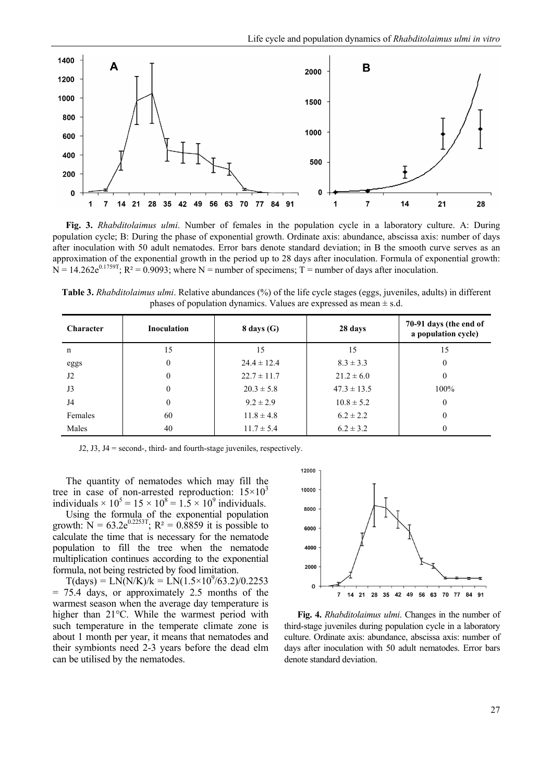

**Fig. 3.** *Rhabditolaimus ulmi*. Number of females in the population cycle in a laboratory culture. A: During population cycle; B: During the phase of exponential growth. Ordinate axis: abundance, abscissa axis: number of days after inoculation with 50 adult nematodes. Error bars denote standard deviation; in B the smooth curve serves as an approximation of the exponential growth in the period up to 28 days after inoculation. Formula of exponential growth:  $N = 14.262e^{0.1759T}$ ;  $R^2 = 0.9093$ ; where N = number of specimens; T = number of days after inoculation.

**Table 3.** *Rhabditolaimus ulmi*. Relative abundances (%) of the life cycle stages (eggs, juveniles, adults) in different phases of population dynamics. Values are expressed as mean  $\pm$  s.d.

| <b>Character</b> | Inoculation      | $8$ days $(G)$  | 28 days         | 70-91 days (the end of<br>a population cycle) |
|------------------|------------------|-----------------|-----------------|-----------------------------------------------|
| n                | 15               | 15              | 15              | 15                                            |
| eggs             | $\boldsymbol{0}$ | $24.4 \pm 12.4$ | $8.3 \pm 3.3$   | 0                                             |
| J2               | $\theta$         | $22.7 \pm 11.7$ | $21.2 \pm 6.0$  | 0                                             |
| J3               | $\theta$         | $20.3 \pm 5.8$  | $47.3 \pm 13.5$ | 100%                                          |
| J4               | $\theta$         | $9.2 \pm 2.9$   | $10.8 \pm 5.2$  | 0                                             |
| Females          | 60               | $11.8 \pm 4.8$  | $6.2 \pm 2.2$   | 0                                             |
| Males            | 40               | $11.7 \pm 5.4$  | $6.2 \pm 3.2$   | $\theta$                                      |

J2, J3, J4 = second-, third- and fourth-stage juveniles, respectively.

The quantity of nematodes which may fill the tree in case of non-arrested reproduction:  $15 \times 10^3$ individuals  $\times 10^5 = 15 \times 10^8 = 1.5 \times 10^9$  individuals.

Using the formula of the exponential population growth:  $N = 63.2e^{0.2253T}$ ;  $R^2 = 0.8859$  it is possible to calculate the time that is necessary for the nematode population to fill the tree when the nematode multiplication continues according to the exponential formula, not being restricted by food limitation.

 $T(days) = LN(N/K)/k = LN(1.5 \times 10^9/63.2)/0.2253$ = 75.4 days, or approximately 2.5 months of the warmest season when the average day temperature is higher than 21°C. While the warmest period with such temperature in the temperate climate zone is about 1 month per year, it means that nematodes and their symbionts need 2-3 years before the dead elm can be utilised by the nematodes.



**Fig. 4.** *Rhabditolaimus ulmi*. Changes in the number of third-stage juveniles during population cycle in a laboratory culture. Ordinate axis: abundance, abscissa axis: number of days after inoculation with 50 adult nematodes. Error bars denote standard deviation.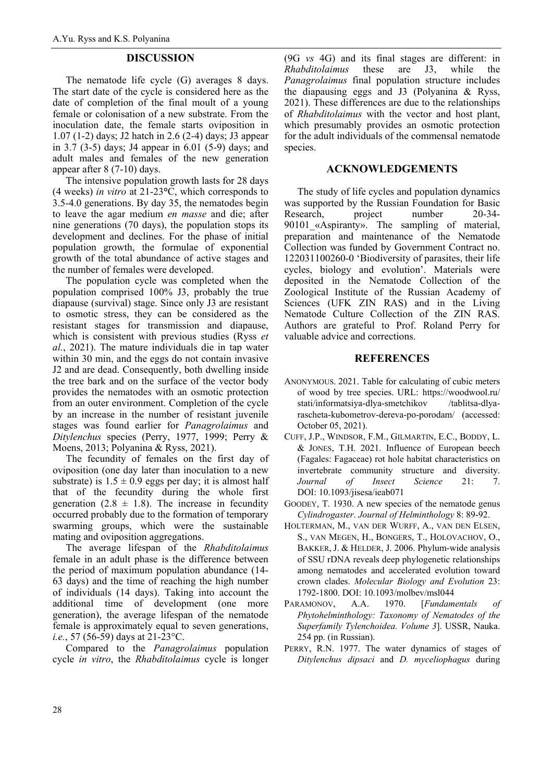# **DISCUSSION**

The nematode life cycle (G) averages 8 days. The start date of the cycle is considered here as the date of completion of the final moult of a young female or colonisation of a new substrate. From the inoculation date, the female starts oviposition in 1.07 (1-2) days; J2 hatch in 2.6 (2-4) days; J3 appear in 3.7 (3-5) days; J4 appear in 6.01 (5-9) days; and adult males and females of the new generation appear after 8 (7-10) days.

The intensive population growth lasts for 28 days (4 weeks) *in vitro* at 21-23**°**C, which corresponds to 3.5-4.0 generations. By day 35, the nematodes begin to leave the agar medium *en masse* and die; after nine generations (70 days), the population stops its development and declines. For the phase of initial population growth, the formulae of exponential growth of the total abundance of active stages and the number of females were developed.

The population cycle was completed when the population comprised 100% J3, probably the true diapause (survival) stage. Since only J3 are resistant to osmotic stress, they can be considered as the resistant stages for transmission and diapause, which is consistent with previous studies (Ryss *et al.*, 2021). The mature individuals die in tap water within 30 min, and the eggs do not contain invasive J2 and are dead. Consequently, both dwelling inside the tree bark and on the surface of the vector body provides the nematodes with an osmotic protection from an outer environment. Completion of the cycle by an increase in the number of resistant juvenile stages was found earlier for *Panagrolaimus* and *Ditylenchus* species (Perry, 1977, 1999; Perry & Moens, 2013; Polyanina & Ryss, 2021).

The fecundity of females on the first day of oviposition (one day later than inoculation to a new substrate) is  $1.5 \pm 0.9$  eggs per day; it is almost half that of the fecundity during the whole first generation (2.8  $\pm$  1.8). The increase in fecundity occurred probably due to the formation of temporary swarming groups, which were the sustainable mating and oviposition aggregations.

The average lifespan of the *Rhabditolaimus* female in an adult phase is the difference between the period of maximum population abundance (14- 63 days) and the time of reaching the high number of individuals (14 days). Taking into account the additional time of development (one more generation), the average lifespan of the nematode female is approximately equal to seven generations, *i.e.*, 57 (56-59) days at 21-23°C.

Compared to the *Panagrolaimus* population cycle *in vitro*, the *Rhabditolaimus* cycle is longer (9G *vs* 4G) and its final stages are different: in *Rhabditolaimus* these are J3, while the *Panagrolaimus* final population structure includes the diapausing eggs and J3 (Polyanina & Ryss, 2021). These differences are due to the relationships of *Rhabditolaimus* with the vector and host plant, which presumably provides an osmotic protection for the adult individuals of the commensal nematode species.

## **ACKNOWLEDGEMENTS**

The study of life cycles and population dynamics was supported by the Russian Foundation for Basic Research, project number 20-34- 90101 «Aspiranty». The sampling of material, preparation and maintenance of the Nematode Collection was funded by Government Contract no. 122031100260-0 'Biodiversity of parasites, their life cycles, biology and evolution'. Materials were deposited in the Nematode Collection of the Zoological Institute of the Russian Academy of Sciences (UFK ZIN RAS) and in the Living Nematode Culture Collection of the ZIN RAS. Authors are grateful to Prof. Roland Perry for valuable advice and corrections.

## **REFERENCES**

- ANONYMOUS. 2021. Table for calculating of cubic meters of wood by tree species. URL: https://woodwool.ru/ stati/informatsiya-dlya-smetchikov /tablitsa-dlyarascheta-kubometrov-dereva-po-porodam/ (accessed: October 05, 2021).
- CUFF, J.P., WINDSOR, F.M., GILMARTIN, E.C., BODDY, L. & JONES, T.H. 2021. Influence of European beech (Fagales: Fagaceae) rot hole habitat characteristics on invertebrate community structure and diversity. *Journal of Insect Science* 21: 7. DOI: 10.1093/jisesa/ieab071
- GOODEY, T. 1930. A new species of the nematode genus *Cylindrogaster*. *Journal of Helminthology* 8: 89-92.
- HOLTERMAN, M., VAN DER WURFF, A., VAN DEN ELSEN, S., VAN MEGEN, H., BONGERS, T., HOLOVACHOV, O., BAKKER, J. & HELDER, J. 2006. Phylum-wide analysis of SSU rDNA reveals deep phylogenetic relationships among nematodes and accelerated evolution toward crown clades. *Molecular Biology and Evolution* 23: 1792-1800. DOI: 10.1093/molbev/msl044
- PARAMONOV, A.A. 1970. [*Fundamentals of Phytohelminthology: Taxonomy of Nematodes of the Superfamily Tylenchoidea. Volume 3*]. USSR, Nauka. 254 pp. (in Russian).
- PERRY, R.N. 1977. The water dynamics of stages of *Ditylenchus dipsaci* and *D. myceliophagus* during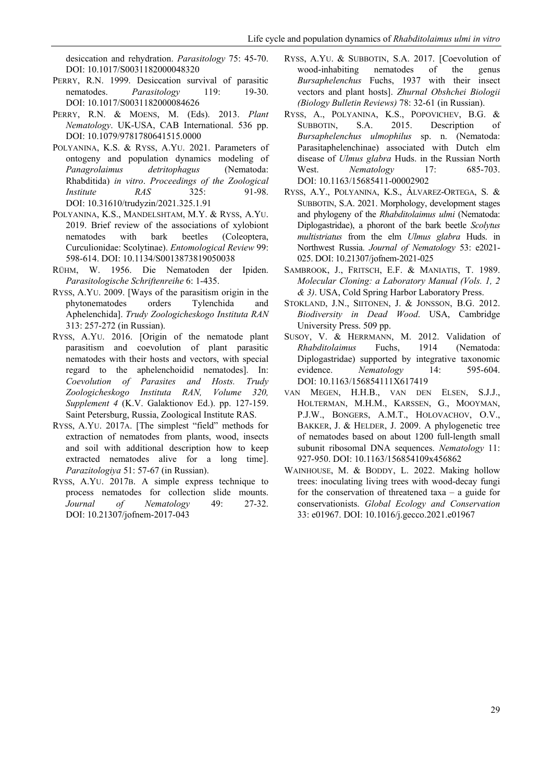desiccation and rehydration. *Parasitology* 75: 45-70. DOI: 10.1017/S0031182000048320

- PERRY, R.N. 1999. Desiccation survival of parasitic nematodes. *Parasitology* 119: 19-30. DOI: 10.1017/S0031182000084626
- PERRY, R.N. & MOENS, M. (Eds). 2013. *Plant Nematology*. UK-USA, CAB International. 536 pp. DOI: 10.1079/9781780641515.0000
- POLYANINA, K.S. & RYSS, A.YU. 2021. Parameters of ontogeny and population dynamics modeling of *Panagrolaimus detritophagus* (Nematoda: Rhabditida) *in vitro*. *Proceedings of the Zoological Institute RAS* 325: 91-98. DOI: 10.31610/trudyzin/2021.325.1.91
- POLYANINA, K.S., MANDELSHTAM, M.Y. & RYSS, A.YU. 2019. Brief review of the associations of xylobiont nematodes with bark beetles (Coleoptera, Curculionidae: Scolytinae). *Entomological Review* 99: 598-614. DOI: 10.1134/S0013873819050038
- RÜHM, W. 1956. Die Nematoden der Ipiden. *Parasitologische Schriftenreihe* 6: 1-435.
- RYSS, A.YU. 2009. [Ways of the parasitism origin in the phytonematodes orders Tylenchida and Aphelenchida]. *Trudy Zoologicheskogo Instituta RAN* 313: 257-272 (in Russian).
- RYSS, A.YU. 2016. [Origin of the nematode plant parasitism and coevolution of plant parasitic nematodes with their hosts and vectors, with special regard to the aphelenchoidid nematodes]. In: *Coevolution of Parasites and Hosts. Trudy Zoologicheskogo Instituta RAN, Volume 320, Supplement 4* (K.V. Galaktionov Ed.). pp. 127-159. Saint Petersburg, Russia, Zoological Institute RAS.
- RYSS, A.YU. 2017A. [The simplest "field" methods for extraction of nematodes from plants, wood, insects and soil with additional description how to keep extracted nematodes alive for a long time]. *Parazitologiya* 51: 57-67 (in Russian).
- RYSS, A.YU. 2017B. A simple express technique to process nematodes for collection slide mounts. *Journal of Nematology* 49: 27-32. DOI: 10.21307/jofnem-2017-043
- RYSS, A.YU. & SUBBOTIN, S.A. 2017. [Coevolution of wood-inhabiting nematodes of the genus *Bursaphelenchus* Fuchs, 1937 with their insect vectors and plant hosts]. *Zhurnal Obshchei Biologii (Biology Bulletin Reviews)* 78: 32-61 (in Russian).
- RYSS, A., POLYANINA, K.S., POPOVICHEV, B.G. & SUBBOTIN, S.A. 2015. Description of *Bursaphelenchus ulmophilus* sp. n. (Nematoda: Parasitaphelenchinae) associated with Dutch elm disease of *Ulmus glabra* Huds. in the Russian North West. *Nematology* 17: 685-703. DOI: 10.1163/15685411-00002902
- RYSS, A.Y., POLYANINA, K.S., ÁLVAREZ-ORTEGA, S. & SUBBOTIN, S.A. 2021. Morphology, development stages and phylogeny of the *Rhabditolaimus ulmi* (Nematoda: Diplogastridae), a phoront of the bark beetle *Scolytus multistriatus* from the elm *Ulmus glabra* Huds. in Northwest Russia. *Journal of Nematology* 53: e2021- 025. DOI: 10.21307/jofnem-2021-025
- SAMBROOK, J., FRITSCH, E.F. & MANIATIS, T. 1989. *Molecular Cloning: a Laboratory Manual (Vols. 1, 2 & 3)*. USA, Cold Spring Harbor Laboratory Press.
- STOKLAND, J.N., SIITONEN, J. & JONSSON, B.G. 2012. *Biodiversity in Dead Wood*. USA, Cambridge University Press. 509 pp.
- SUSOY, V. & HERRMANN, M. 2012. Validation of *Rhabditolaimus* Fuchs, 1914 (Nematoda: Diplogastridae) supported by integrative taxonomic evidence. *Nematology* 14: 595-604. DOI: 10.1163/156854111X617419
- VAN MEGEN, H.H.B., VAN DEN ELSEN, S.J.J., HOLTERMAN, M.H.M., KARSSEN, G., MOOYMAN, P.J.W., BONGERS, A.M.T., HOLOVACHOV, O.V., BAKKER, J. & HELDER, J. 2009. A phylogenetic tree of nematodes based on about 1200 full-length small subunit ribosomal DNA sequences. *Nematology* 11: 927-950. DOI: 10.1163/156854109x456862
- WAINHOUSE, M. & BODDY, L. 2022. Making hollow trees: inoculating living trees with wood-decay fungi for the conservation of threatened taxa  $-$  a guide for conservationists. *Global Ecology and Conservation* 33: e01967. DOI: 10.1016/j.gecco.2021.e01967